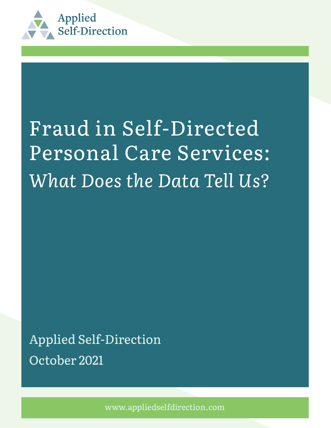

# Fraud in Self-Directed Personal Care Services: What Does the Data Tell Us?

October 2021 Applied Self-Direction

www.appliedselfdirection.com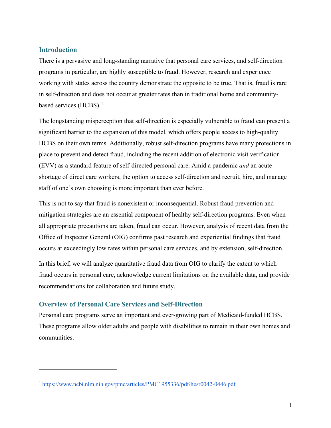## **Introduction**

There is a pervasive and long-standing narrative that personal care services, and self-direction programs in particular, are highly susceptible to fraud. However, research and experience working with states across the country demonstrate the opposite to be true. That is, fraud is rare in self-direction and does not occur at greater rates than in traditional home and community-based services (HCBS).<sup>[1](#page-1-0)</sup>

The longstanding misperception that self-direction is especially vulnerable to fraud can present a significant barrier to the expansion of this model, which offers people access to high-quality HCBS on their own terms. Additionally, robust self-direction programs have many protections in place to prevent and detect fraud, including the recent addition of electronic visit verification (EVV) as a standard feature of self-directed personal care. Amid a pandemic *and* an acute shortage of direct care workers, the option to access self-direction and recruit, hire, and manage staff of one's own choosing is more important than ever before.

This is not to say that fraud is nonexistent or inconsequential. Robust fraud prevention and mitigation strategies are an essential component of healthy self-direction programs. Even when all appropriate precautions are taken, fraud can occur. However, analysis of recent data from the Office of Inspector General (OIG) confirms past research and experiential findings that fraud occurs at exceedingly low rates within personal care services, and by extension, self-direction.

In this brief, we will analyze quantitative fraud data from OIG to clarify the extent to which fraud occurs in personal care, acknowledge current limitations on the available data, and provide recommendations for collaboration and future study.

# **Overview of Personal Care Services and Self-Direction**

Personal care programs serve an important and ever-growing part of Medicaid-funded HCBS. These programs allow older adults and people with disabilities to remain in their own homes and communities.

<span id="page-1-0"></span><sup>1</sup> <https://www.ncbi.nlm.nih.gov/pmc/articles/PMC1955336/pdf/hesr0042-0446.pdf>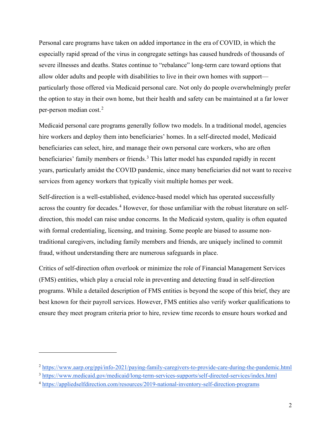Personal care programs have taken on added importance in the era of COVID, in which the especially rapid spread of the virus in congregate settings has caused hundreds of thousands of severe illnesses and deaths. States continue to "rebalance" long-term care toward options that allow older adults and people with disabilities to live in their own homes with support particularly those offered via Medicaid personal care. Not only do people overwhelmingly prefer the option to stay in their own home, but their health and safety can be maintained at a far lower per-person median cost.[2](#page-2-0)

Medicaid personal care programs generally follow two models. In a traditional model, agencies hire workers and deploy them into beneficiaries' homes. In a self-directed model, Medicaid beneficiaries can select, hire, and manage their own personal care workers, who are often beneficiaries' family members or friends.<sup>[3](#page-2-1)</sup> This latter model has expanded rapidly in recent years, particularly amidst the COVID pandemic, since many beneficiaries did not want to receive services from agency workers that typically visit multiple homes per week.

Self-direction is a well-established, evidence-based model which has operated successfully across the country for decades.<sup>[4](#page-2-2)</sup> However, for those unfamiliar with the robust literature on selfdirection, this model can raise undue concerns. In the Medicaid system, quality is often equated with formal credentialing, licensing, and training. Some people are biased to assume nontraditional caregivers, including family members and friends, are uniquely inclined to commit fraud, without understanding there are numerous safeguards in place.

Critics of self-direction often overlook or minimize the role of Financial Management Services (FMS) entities, which play a crucial role in preventing and detecting fraud in self-direction programs. While a detailed description of FMS entities is beyond the scope of this brief, they are best known for their payroll services. However, FMS entities also verify worker qualifications to ensure they meet program criteria prior to hire, review time records to ensure hours worked and

<span id="page-2-0"></span><sup>2</sup> <https://www.aarp.org/ppi/info-2021/paying-family-caregivers-to-provide-care-during-the-pandemic.html>

<span id="page-2-1"></span><sup>3</sup> <https://www.medicaid.gov/medicaid/long-term-services-supports/self-directed-services/index.html>

<span id="page-2-2"></span><sup>4</sup> <https://appliedselfdirection.com/resources/2019-national-inventory-self-direction-programs>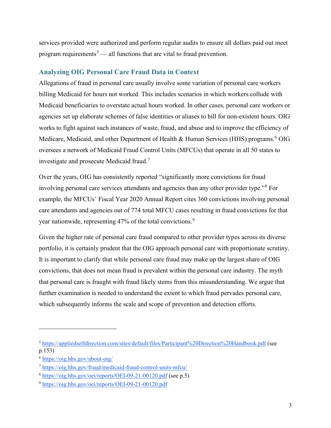services provided were authorized and perform regular audits to ensure all dollars paid out meet program requirements<sup>[5](#page-3-0)</sup> — all functions that are vital to fraud prevention.

## **Analyzing OIG Personal Care Fraud Data in Context**

Allegations of fraud in personal care usually involve some variation of personal care workers billing Medicaid for hours not worked. This includes scenarios in which workers collude with Medicaid beneficiaries to overstate actual hours worked. In other cases, personal care workers or agencies set up elaborate schemes of false identities or aliases to bill for non-existent hours. OIG works to fight against such instances of waste, fraud, and abuse and to improve the efficiency of Medicare, Medicaid, and other Department of Health & Human Services (HHS) programs.<sup>[6](#page-3-1)</sup> OIG oversees a network of Medicaid Fraud Control Units (MFCUs) that operate in all 50 states to investigate and prosecute Medicaid fraud.[7](#page-3-2)

Over the years, OIG has consistently reported "significantly more convictions for fraud involving personal care services attendants and agencies than any other provider type."[8](#page-3-3) For example, the MFCUs' Fiscal Year 2020 Annual Report cites 360 convictions involving personal care attendants and agencies out of 774 total MFCU cases resulting in fraud convictions for that year nationwide, representing 47% of the total convictions.<sup>[9](#page-3-4)</sup>

Given the higher rate of personal care fraud compared to other provider types across its diverse portfolio, it is certainly prudent that the OIG approach personal care with proportionate scrutiny. It is important to clarify that while personal care fraud may make up the largest share of OIG convictions, that does not mean fraud is prevalent within the personal care industry. The myth that personal care is fraught with fraud likely stems from this misunderstanding. We argue that further examination is needed to understand the extent to which fraud pervades personal care, which subsequently informs the scale and scope of prevention and detection efforts.

<span id="page-3-0"></span><sup>5</sup> <https://appliedselfdirection.com/sites/default/files/Participant%20Direction%20Handbook.pdf> (see p.153)

<span id="page-3-1"></span><sup>6</sup> <https://oig.hhs.gov/about-oig/>

<span id="page-3-2"></span><sup>7</sup> <https://oig.hhs.gov/fraud/medicaid-fraud-control-units-mfcu/>

<span id="page-3-3"></span><sup>8</sup> <https://oig.hhs.gov/oei/reports/OEI-09-21-00120.pdf> (see p.5)

<span id="page-3-4"></span><sup>9</sup> <https://oig.hhs.gov/oei/reports/OEI-09-21-00120.pdf>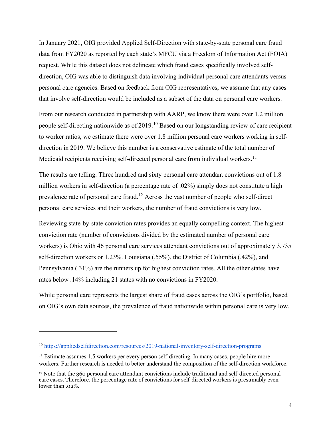In January 2021, OIG provided Applied Self-Direction with state-by-state personal care fraud data from FY2020 as reported by each state's MFCU via a Freedom of Information Act (FOIA) request. While this dataset does not delineate which fraud cases specifically involved selfdirection, OIG was able to distinguish data involving individual personal care attendants versus personal care agencies. Based on feedback from OIG representatives, we assume that any cases that involve self-direction would be included as a subset of the data on personal care workers.

From our research conducted in partnership with AARP, we know there were over 1.2 million people self-directing nationwide as of 2019.<sup>[10](#page-4-0)</sup> Based on our longstanding review of care recipient to worker ratios, we estimate there were over 1.8 million personal care workers working in selfdirection in 2019. We believe this number is a conservative estimate of the total number of Medicaid recipients receiving self-directed personal care from individual workers.<sup>[11](#page-4-1)</sup>

The results are telling. Three hundred and sixty personal care attendant convictions out of 1.8 million workers in self-direction (a percentage rate of .02%) simply does not constitute a high prevalence rate of personal care fraud.[12](#page-4-2) Across the vast number of people who self-direct personal care services and their workers, the number of fraud convictions is very low.

Reviewing state-by-state conviction rates provides an equally compelling context. The highest conviction rate (number of convictions divided by the estimated number of personal care workers) is Ohio with 46 personal care services attendant convictions out of approximately 3,735 self-direction workers or 1.23%. Louisiana (.55%), the District of Columbia (.42%), and Pennsylvania (.31%) are the runners up for highest conviction rates. All the other states have rates below .14% including 21 states with no convictions in FY2020.

While personal care represents the largest share of fraud cases across the OIG's portfolio, based on OIG's own data sources, the prevalence of fraud nationwide within personal care is very low.

<span id="page-4-0"></span><sup>10</sup> <https://appliedselfdirection.com/resources/2019-national-inventory-self-direction-programs>

<span id="page-4-1"></span> $11$  Estimate assumes 1.5 workers per every person self-directing. In many cases, people hire more workers. Further research is needed to better understand the composition of the self-direction workforce.

<span id="page-4-2"></span><sup>12</sup> Note that the 360 personal care attendant convictions include traditional and self-directed personal care cases. Therefore, the percentage rate of convictions for self-directed workers is presumably even lower than .02%.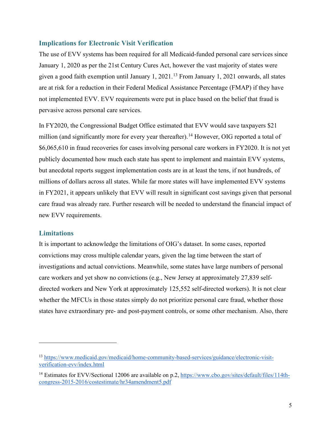#### **Implications for Electronic Visit Verification**

The use of EVV systems has been required for all Medicaid-funded personal care services since January 1, 2020 as per the 21st Century Cures Act, however the vast majority of states were given a good faith exemption until January 1, 2021. [13](#page-5-0) From January 1, 2021 onwards, all states are at risk for a reduction in their Federal Medical Assistance Percentage (FMAP) if they have not implemented EVV. EVV requirements were put in place based on the belief that fraud is pervasive across personal care services.

In FY2020, the Congressional Budget Office estimated that EVV would save taxpayers \$21 million (and significantly more for every year thereafter).<sup>[14](#page-5-1)</sup> However, OIG reported a total of \$6,065,610 in fraud recoveries for cases involving personal care workers in FY2020. It is not yet publicly documented how much each state has spent to implement and maintain EVV systems, but anecdotal reports suggest implementation costs are in at least the tens, if not hundreds, of millions of dollars across all states. While far more states will have implemented EVV systems in FY2021, it appears unlikely that EVV will result in significant cost savings given that personal care fraud was already rare. Further research will be needed to understand the financial impact of new EVV requirements.

#### **Limitations**

It is important to acknowledge the limitations of OIG's dataset. In some cases, reported convictions may cross multiple calendar years, given the lag time between the start of investigations and actual convictions. Meanwhile, some states have large numbers of personal care workers and yet show no convictions (e.g., New Jersey at approximately 27,839 selfdirected workers and New York at approximately 125,552 self-directed workers). It is not clear whether the MFCUs in those states simply do not prioritize personal care fraud, whether those states have extraordinary pre- and post-payment controls, or some other mechanism. Also, there

<span id="page-5-0"></span><sup>13</sup> [https://www.medicaid.gov/medicaid/home-community-based-services/guidance/electronic-visit](https://www.medicaid.gov/medicaid/home-community-based-services/guidance/electronic-visit-verification-evv/index.html)[verification-evv/index.html](https://www.medicaid.gov/medicaid/home-community-based-services/guidance/electronic-visit-verification-evv/index.html)

<span id="page-5-1"></span><sup>14</sup> Estimates for EVV/Sectional 12006 are available on p.2, [https://www.cbo.gov/sites/default/files/114th](https://www.cbo.gov/sites/default/files/114th-congress-2015-2016/costestimate/hr34amendment5.pdf)[congress-2015-2016/costestimate/hr34amendment5.pdf](https://www.cbo.gov/sites/default/files/114th-congress-2015-2016/costestimate/hr34amendment5.pdf)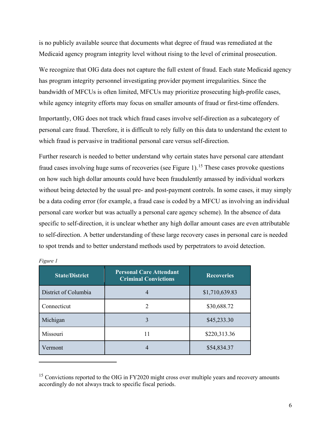is no publicly available source that documents what degree of fraud was remediated at the Medicaid agency program integrity level without rising to the level of criminal prosecution.

We recognize that OIG data does not capture the full extent of fraud. Each state Medicaid agency has program integrity personnel investigating provider payment irregularities. Since the bandwidth of MFCUs is often limited, MFCUs may prioritize prosecuting high-profile cases, while agency integrity efforts may focus on smaller amounts of fraud or first-time offenders.

Importantly, OIG does not track which fraud cases involve self-direction as a subcategory of personal care fraud. Therefore, it is difficult to rely fully on this data to understand the extent to which fraud is pervasive in traditional personal care versus self-direction.

Further research is needed to better understand why certain states have personal care attendant fraud cases involving huge sums of recoveries (see Figure 1).<sup>[15](#page-6-0)</sup> These cases provoke questions on how such high dollar amounts could have been fraudulently amassed by individual workers without being detected by the usual pre- and post-payment controls. In some cases, it may simply be a data coding error (for example, a fraud case is coded by a MFCU as involving an individual personal care worker but was actually a personal care agency scheme). In the absence of data specific to self-direction, it is unclear whether any high dollar amount cases are even attributable to self-direction. A better understanding of these large recovery cases in personal care is needed to spot trends and to better understand methods used by perpetrators to avoid detection.

| <b>State/District</b> | <b>Personal Care Attendant</b><br><b>Criminal Convictions</b> | <b>Recoveries</b> |
|-----------------------|---------------------------------------------------------------|-------------------|
| District of Columbia  |                                                               | \$1,710,639.83    |
| Connecticut           | $\mathcal{D}_{\mathcal{A}}$                                   | \$30,688.72       |
| Michigan              | 3                                                             | \$45,233.30       |
| Missouri              | 11                                                            | \$220,313.36      |
| Vermont               |                                                               | \$54,834.37       |

<span id="page-6-0"></span><sup>&</sup>lt;sup>15</sup> Convictions reported to the OIG in FY2020 might cross over multiple years and recovery amounts accordingly do not always track to specific fiscal periods.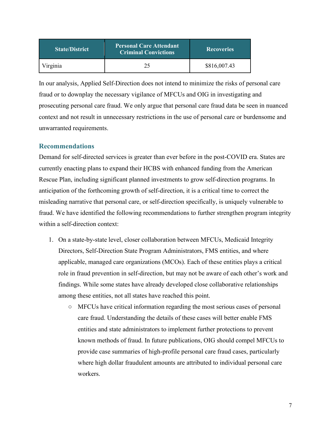| <b>State/District</b> | <b>Personal Care Attendant</b><br><b>Criminal Convictions</b> | <b>Recoveries</b> |
|-----------------------|---------------------------------------------------------------|-------------------|
| Virginia              |                                                               | \$816,007.43      |

In our analysis, Applied Self-Direction does not intend to minimize the risks of personal care fraud or to downplay the necessary vigilance of MFCUs and OIG in investigating and prosecuting personal care fraud. We only argue that personal care fraud data be seen in nuanced context and not result in unnecessary restrictions in the use of personal care or burdensome and unwarranted requirements.

# **Recommendations**

Demand for self-directed services is greater than ever before in the post-COVID era. States are currently enacting plans to expand their HCBS with enhanced funding from the American Rescue Plan, including significant planned investments to grow self-direction programs. In anticipation of the forthcoming growth of self-direction, it is a critical time to correct the misleading narrative that personal care, or self-direction specifically, is uniquely vulnerable to fraud. We have identified the following recommendations to further strengthen program integrity within a self-direction context:

- 1. On a state-by-state level, closer collaboration between MFCUs, Medicaid Integrity Directors, Self-Direction State Program Administrators, FMS entities, and where applicable, managed care organizations (MCOs). Each of these entities plays a critical role in fraud prevention in self-direction, but may not be aware of each other's work and findings. While some states have already developed close collaborative relationships among these entities, not all states have reached this point.
	- MFCUs have critical information regarding the most serious cases of personal care fraud. Understanding the details of these cases will better enable FMS entities and state administrators to implement further protections to prevent known methods of fraud. In future publications, OIG should compel MFCUs to provide case summaries of high-profile personal care fraud cases, particularly where high dollar fraudulent amounts are attributed to individual personal care workers.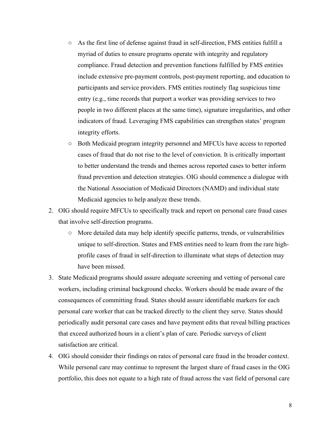- As the first line of defense against fraud in self-direction, FMS entities fulfill a myriad of duties to ensure programs operate with integrity and regulatory compliance. Fraud detection and prevention functions fulfilled by FMS entities include extensive pre-payment controls, post-payment reporting, and education to participants and service providers. FMS entities routinely flag suspicious time entry (e.g., time records that purport a worker was providing services to two people in two different places at the same time), signature irregularities, and other indicators of fraud. Leveraging FMS capabilities can strengthen states' program integrity efforts.
- Both Medicaid program integrity personnel and MFCUs have access to reported cases of fraud that do not rise to the level of conviction. It is critically important to better understand the trends and themes across reported cases to better inform fraud prevention and detection strategies. OIG should commence a dialogue with the National Association of Medicaid Directors (NAMD) and individual state Medicaid agencies to help analyze these trends.
- 2. OIG should require MFCUs to specifically track and report on personal care fraud cases that involve self-direction programs.
	- More detailed data may help identify specific patterns, trends, or vulnerabilities unique to self-direction. States and FMS entities need to learn from the rare highprofile cases of fraud in self-direction to illuminate what steps of detection may have been missed.
- 3. State Medicaid programs should assure adequate screening and vetting of personal care workers, including criminal background checks. Workers should be made aware of the consequences of committing fraud. States should assure identifiable markers for each personal care worker that can be tracked directly to the client they serve. States should periodically audit personal care cases and have payment edits that reveal billing practices that exceed authorized hours in a client's plan of care. Periodic surveys of client satisfaction are critical.
- 4. OIG should consider their findings on rates of personal care fraud in the broader context. While personal care may continue to represent the largest share of fraud cases in the OIG portfolio, this does not equate to a high rate of fraud across the vast field of personal care